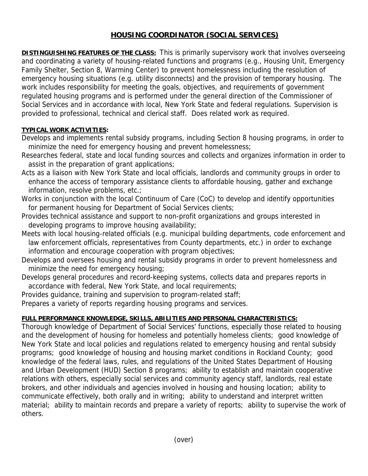## **HOUSING COORDINATOR (SOCIAL SERVICES)**

**DISTINGUISHING FEATURES OF THE CLASS:** This is primarily supervisory work that involves overseeing and coordinating a variety of housing-related functions and programs (e.g., Housing Unit, Emergency Family Shelter, Section 8, Warming Center) to prevent homelessness including the resolution of emergency housing situations (e.g. utility disconnects) and the provision of temporary housing. The work includes responsibility for meeting the goals, objectives, and requirements of government regulated housing programs and is performed under the general direction of the Commissioner of Social Services and in accordance with local, New York State and federal regulations. Supervision is provided to professional, technical and clerical staff. Does related work as required.

## **TYPICAL WORK ACTIVITIES:**

- Develops and implements rental subsidy programs, including Section 8 housing programs, in order to minimize the need for emergency housing and prevent homelessness;
- Researches federal, state and local funding sources and collects and organizes information in order to assist in the preparation of grant applications;
- Acts as a liaison with New York State and local officials, landlords and community groups in order to enhance the access of temporary assistance clients to affordable housing, gather and exchange information, resolve problems, etc.;
- Works in conjunction with the local Continuum of Care (CoC) to develop and identify opportunities for permanent housing for Department of Social Services clients;
- Provides technical assistance and support to non-profit organizations and groups interested in developing programs to improve housing availability;
- Meets with local housing-related officials (e.g. municipal building departments, code enforcement and law enforcement officials, representatives from County departments, etc.) in order to exchange information and encourage cooperation with program objectives;
- Develops and oversees housing and rental subsidy programs in order to prevent homelessness and minimize the need for emergency housing;
- Develops general procedures and record-keeping systems, collects data and prepares reports in accordance with federal, New York State, and local requirements;

Provides guidance, training and supervision to program-related staff;

Prepares a variety of reports regarding housing programs and services.

## **FULL PERFORMANCE KNOWLEDGE, SKILLS, ABILITIES AND PERSONAL CHARACTERISTICS:**

Thorough knowledge of Department of Social Services' functions, especially those related to housing and the development of housing for homeless and potentially homeless clients; good knowledge of New York State and local policies and regulations related to emergency housing and rental subsidy programs; good knowledge of housing and housing market conditions in Rockland County; good knowledge of the federal laws, rules, and regulations of the United States Department of Housing and Urban Development (HUD) Section 8 programs; ability to establish and maintain cooperative relations with others, especially social services and community agency staff, landlords, real estate brokers, and other individuals and agencies involved in housing and housing location; ability to communicate effectively, both orally and in writing; ability to understand and interpret written material; ability to maintain records and prepare a variety of reports; ability to supervise the work of others.